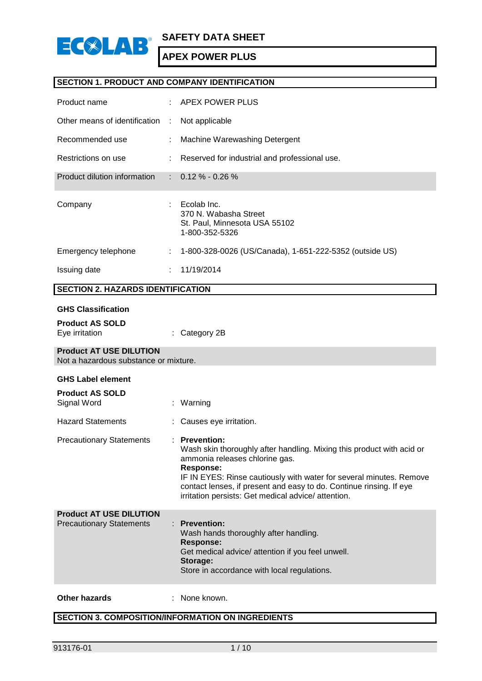

# **SECTION 1. PRODUCT AND COMPANY IDENTIFICATION**

| Product name                  |   | $\therefore$ APEX POWER PLUS                                                            |
|-------------------------------|---|-----------------------------------------------------------------------------------------|
| Other means of identification | ÷ | Not applicable                                                                          |
| Recommended use               |   | Machine Warewashing Detergent                                                           |
| Restrictions on use           |   | Reserved for industrial and professional use.                                           |
| Product dilution information  |   | $\therefore$ 0.12 % - 0.26 %                                                            |
| Company                       |   | Ecolab Inc.<br>370 N. Wabasha Street<br>St. Paul, Minnesota USA 55102<br>1-800-352-5326 |
| Emergency telephone           | ÷ | 1-800-328-0026 (US/Canada), 1-651-222-5352 (outside US)                                 |
| Issuing date                  |   | 11/19/2014                                                                              |

# **SECTION 2. HAZARDS IDENTIFICATION**

#### **GHS Classification**

| <b>Product AS SOLD</b> |                          |
|------------------------|--------------------------|
| Eye irritation         | $\therefore$ Category 2B |

# **Product AT USE DILUTION**

Not a hazardous substance or mixture.

#### **GHS Label element**

| <b>Product AS SOLD</b><br>Signal Word                             | : Warning                                                                                                                                                                                                                                                                                                                                   |
|-------------------------------------------------------------------|---------------------------------------------------------------------------------------------------------------------------------------------------------------------------------------------------------------------------------------------------------------------------------------------------------------------------------------------|
| <b>Hazard Statements</b>                                          | : Causes eye irritation.                                                                                                                                                                                                                                                                                                                    |
| <b>Precautionary Statements</b>                                   | $:$ Prevention:<br>Wash skin thoroughly after handling. Mixing this product with acid or<br>ammonia releases chlorine gas.<br>Response:<br>IF IN EYES: Rinse cautiously with water for several minutes. Remove<br>contact lenses, if present and easy to do. Continue rinsing. If eye<br>irritation persists: Get medical advice/attention. |
| <b>Product AT USE DILUTION</b><br><b>Precautionary Statements</b> | $:$ Prevention:<br>Wash hands thoroughly after handling.<br>Response:<br>Get medical advice/ attention if you feel unwell.<br>Storage:                                                                                                                                                                                                      |

#### **Other hazards** : None known.

# **SECTION 3. COMPOSITION/INFORMATION ON INGREDIENTS**

Store in accordance with local regulations.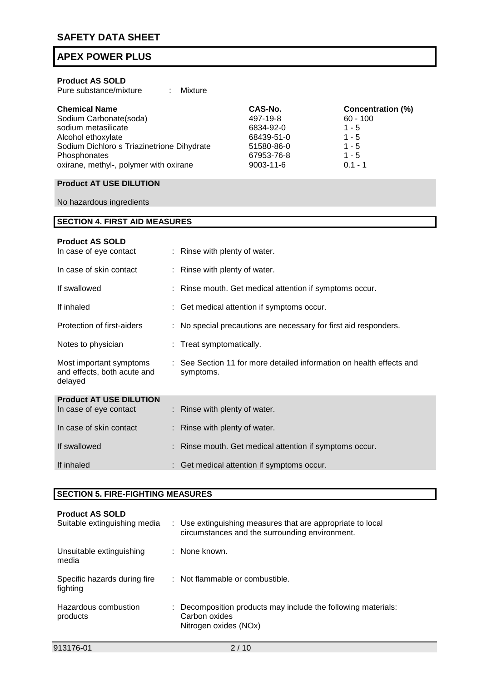| <b>Product AS SOLD</b><br>Pure substance/mixture                                                                                                                                                    |  | Mixture                                                 |                                                                                         |                                                                                               |
|-----------------------------------------------------------------------------------------------------------------------------------------------------------------------------------------------------|--|---------------------------------------------------------|-----------------------------------------------------------------------------------------|-----------------------------------------------------------------------------------------------|
| <b>Chemical Name</b><br>Sodium Carbonate(soda)<br>sodium metasilicate<br>Alcohol ethoxylate<br>Sodium Dichloro s Triazinetrione Dihydrate<br>Phosphonates<br>oxirane, methyl-, polymer with oxirane |  |                                                         | CAS-No.<br>497-19-8<br>6834-92-0<br>68439-51-0<br>51580-86-0<br>67953-76-8<br>9003-11-6 | <b>Concentration (%)</b><br>$60 - 100$<br>$1 - 5$<br>$1 - 5$<br>1 - 5<br>$1 - 5$<br>$0.1 - 1$ |
| <b>Product AT USE DILUTION</b>                                                                                                                                                                      |  |                                                         |                                                                                         |                                                                                               |
| No hazardous ingredients                                                                                                                                                                            |  |                                                         |                                                                                         |                                                                                               |
| <b>SECTION 4. FIRST AID MEASURES</b>                                                                                                                                                                |  |                                                         |                                                                                         |                                                                                               |
| <b>Product AS SOLD</b><br>In case of eye contact                                                                                                                                                    |  | : Rinse with plenty of water.                           |                                                                                         |                                                                                               |
| In case of skin contact                                                                                                                                                                             |  | : Rinse with plenty of water.                           |                                                                                         |                                                                                               |
| If swallowed                                                                                                                                                                                        |  | : Rinse mouth. Get medical attention if symptoms occur. |                                                                                         |                                                                                               |
| If inhaled                                                                                                                                                                                          |  |                                                         | Get medical attention if symptoms occur.                                                |                                                                                               |
| Protection of first-aiders                                                                                                                                                                          |  |                                                         | No special precautions are necessary for first aid responders.                          |                                                                                               |
| Notes to physician                                                                                                                                                                                  |  | : Treat symptomatically.                                |                                                                                         |                                                                                               |
| Most important symptoms<br>and effects, both acute and<br>delayed                                                                                                                                   |  | symptoms.                                               | : See Section 11 for more detailed information on health effects and                    |                                                                                               |
| <b>Product AT USE DILUTION</b><br>In case of eye contact                                                                                                                                            |  | : Rinse with plenty of water.                           |                                                                                         |                                                                                               |
| In case of skin contact                                                                                                                                                                             |  | Rinse with plenty of water.                             |                                                                                         |                                                                                               |
| If swallowed                                                                                                                                                                                        |  |                                                         | Rinse mouth. Get medical attention if symptoms occur.                                   |                                                                                               |
| If inhaled                                                                                                                                                                                          |  |                                                         | Get medical attention if symptoms occur.                                                |                                                                                               |

# **SECTION 5. FIRE-FIGHTING MEASURES**

| <b>Product AS SOLD</b><br>Suitable extinguishing media | : Use extinguishing measures that are appropriate to local<br>circumstances and the surrounding environment. |
|--------------------------------------------------------|--------------------------------------------------------------------------------------------------------------|
| Unsuitable extinguishing<br>media                      | : None known.                                                                                                |
| Specific hazards during fire<br>fighting               | : Not flammable or combustible.                                                                              |
| Hazardous combustion<br>products                       | Decomposition products may include the following materials:<br>Carbon oxides<br>Nitrogen oxides (NOx)        |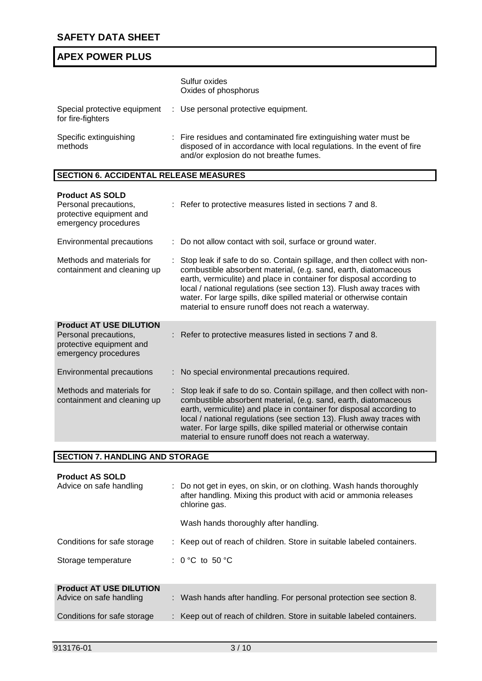|                                   | Sulfur oxides<br>Oxides of phosphorus                                                                                                                                                 |
|-----------------------------------|---------------------------------------------------------------------------------------------------------------------------------------------------------------------------------------|
| for fire-fighters                 | Special protective equipment : Use personal protective equipment.                                                                                                                     |
| Specific extinguishing<br>methods | : Fire residues and contaminated fire extinguishing water must be<br>disposed of in accordance with local regulations. In the event of fire<br>and/or explosion do not breathe fumes. |

# **SECTION 6. ACCIDENTAL RELEASE MEASURES**

| <b>Product AS SOLD</b><br>Personal precautions,<br>protective equipment and<br>emergency procedures         | : Refer to protective measures listed in sections 7 and 8.                                                                                                                                                                                                                                                                                                                                                                  |
|-------------------------------------------------------------------------------------------------------------|-----------------------------------------------------------------------------------------------------------------------------------------------------------------------------------------------------------------------------------------------------------------------------------------------------------------------------------------------------------------------------------------------------------------------------|
| Environmental precautions                                                                                   | : Do not allow contact with soil, surface or ground water.                                                                                                                                                                                                                                                                                                                                                                  |
| Methods and materials for<br>containment and cleaning up                                                    | Stop leak if safe to do so. Contain spillage, and then collect with non-<br>combustible absorbent material, (e.g. sand, earth, diatomaceous<br>earth, vermiculite) and place in container for disposal according to<br>local / national regulations (see section 13). Flush away traces with<br>water. For large spills, dike spilled material or otherwise contain<br>material to ensure runoff does not reach a waterway. |
| <b>Product AT USE DILUTION</b><br>Personal precautions,<br>protective equipment and<br>emergency procedures | : Refer to protective measures listed in sections 7 and 8.                                                                                                                                                                                                                                                                                                                                                                  |
| Environmental precautions                                                                                   | : No special environmental precautions required.                                                                                                                                                                                                                                                                                                                                                                            |
| Methods and materials for<br>containment and cleaning up                                                    | Stop leak if safe to do so. Contain spillage, and then collect with non-<br>combustible absorbent material, (e.g. sand, earth, diatomaceous<br>earth, vermiculite) and place in container for disposal according to<br>local / national regulations (see section 13). Flush away traces with<br>water. For large spills, dike spilled material or otherwise contain<br>material to ensure runoff does not reach a waterway. |

| <b>SECTION 7. HANDLING AND STORAGE</b>                    |                                                                                                                                                                                                     |
|-----------------------------------------------------------|-----------------------------------------------------------------------------------------------------------------------------------------------------------------------------------------------------|
| <b>Product AS SOLD</b><br>Advice on safe handling         | : Do not get in eyes, on skin, or on clothing. Wash hands thoroughly<br>after handling. Mixing this product with acid or ammonia releases<br>chlorine gas.<br>Wash hands thoroughly after handling. |
| Conditions for safe storage                               | : Keep out of reach of children. Store in suitable labeled containers.                                                                                                                              |
| Storage temperature                                       | : 0 °C to 50 °C                                                                                                                                                                                     |
| <b>Product AT USE DILUTION</b><br>Advice on safe handling | : Wash hands after handling. For personal protection see section 8.                                                                                                                                 |
| Conditions for safe storage                               | : Keep out of reach of children. Store in suitable labeled containers.                                                                                                                              |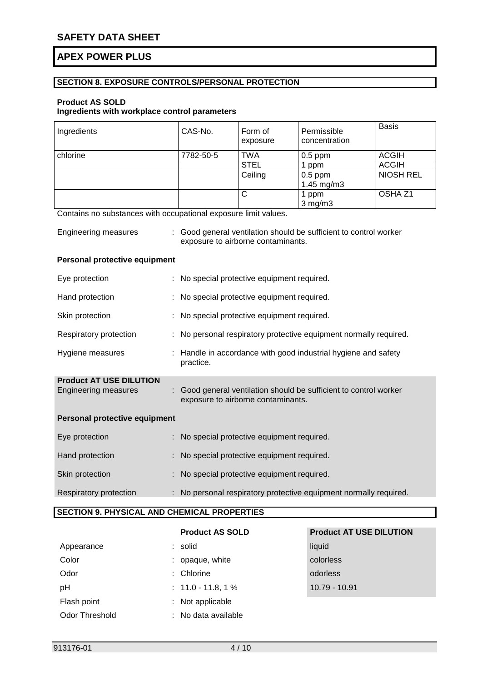# **SECTION 8. EXPOSURE CONTROLS/PERSONAL PROTECTION**

## **Product AS SOLD**

# **Ingredients with workplace control parameters**

| Ingredients | CAS-No.   | Form of<br>exposure | Permissible<br>concentration | <b>Basis</b>       |
|-------------|-----------|---------------------|------------------------------|--------------------|
| chlorine    | 7782-50-5 | TWA                 | $0.5$ ppm                    | <b>ACGIH</b>       |
|             |           | <b>STEL</b>         | ppm                          | <b>ACGIH</b>       |
|             |           | Ceiling             | $0.5$ ppm                    | <b>NIOSH REL</b>   |
|             |           |                     | 1.45 $mg/m3$                 |                    |
|             |           | С                   | 1 ppm                        | OSHA <sub>Z1</sub> |
|             |           |                     | $3$ mg/m $3$                 |                    |

Contains no substances with occupational exposure limit values.

| <b>Engineering measures</b> | : Good general ventilation should be sufficient to control worker |
|-----------------------------|-------------------------------------------------------------------|
|                             | exposure to airborne contaminants.                                |

### **Personal protective equipment**

| Eye protection                                                | : No special protective equipment required.                                                             |
|---------------------------------------------------------------|---------------------------------------------------------------------------------------------------------|
| Hand protection                                               | : No special protective equipment required.                                                             |
| Skin protection                                               | : No special protective equipment required.                                                             |
| Respiratory protection                                        | : No personal respiratory protective equipment normally required.                                       |
| Hygiene measures                                              | : Handle in accordance with good industrial hygiene and safety<br>practice.                             |
| <b>Product AT USE DILUTION</b><br><b>Engineering measures</b> | : Good general ventilation should be sufficient to control worker<br>exposure to airborne contaminants. |
| Personal protective equipment                                 |                                                                                                         |
| Eye protection                                                | : No special protective equipment required.                                                             |
| Hand protection                                               | : No special protective equipment required.                                                             |
| Skin protection                                               | : No special protective equipment required.                                                             |
| Respiratory protection                                        | : No personal respiratory protective equipment normally required.                                       |

# **SECTION 9. PHYSICAL AND CHEMICAL PROPERTIES**

| Appearance            | $:$ solid            | liquid      |
|-----------------------|----------------------|-------------|
| Color                 | : opaque, white      | colorless   |
| Odor                  | $:$ Chlorine         | odorless    |
| pH                    | $: 11.0 - 11.8, 1\%$ | $10.79 - 1$ |
| Flash point           | : Not applicable     |             |
| <b>Odor Threshold</b> | : No data available  |             |

# **Product AS SOLD Product AT USE DILUTION** colorless 10.79 - 10.91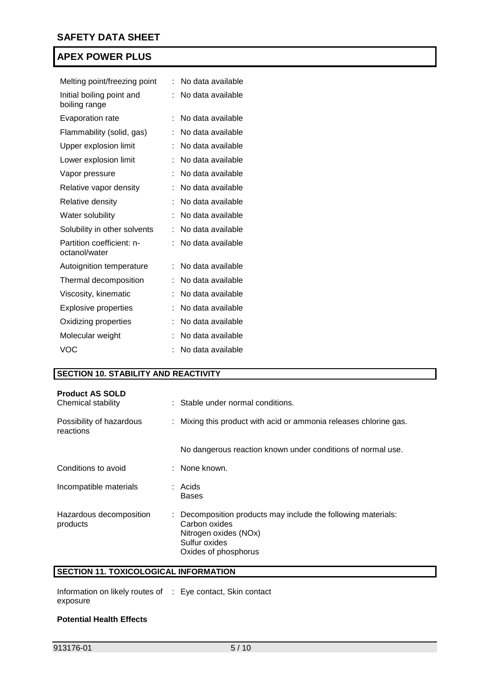| Melting point/freezing point               | t | No data available |
|--------------------------------------------|---|-------------------|
| Initial boiling point and<br>boiling range | İ | No data available |
| <b>Evaporation rate</b>                    | t | No data available |
| Flammability (solid, gas)                  | t | No data available |
| Upper explosion limit                      | t | No data available |
| Lower explosion limit                      | t | No data available |
| Vapor pressure                             |   | No data available |
| Relative vapor density                     |   | No data available |
| Relative density                           |   | No data available |
| Water solubility                           | İ | No data available |
| Solubility in other solvents               |   | No data available |
| Partition coefficient: n-<br>octanol/water | t | No data available |
| Autoignition temperature                   |   | No data available |
| Thermal decomposition                      |   | No data available |
| Viscosity, kinematic                       |   | No data available |
| Explosive properties                       | t | No data available |
| Oxidizing properties                       |   | No data available |
| Molecular weight                           |   | No data available |
| <b>VOC</b>                                 |   | No data available |

# **SECTION 10. STABILITY AND REACTIVITY**

| <b>Product AS SOLD</b><br>Chemical stability | : Stable under normal conditions.                                                                                                                |
|----------------------------------------------|--------------------------------------------------------------------------------------------------------------------------------------------------|
| Possibility of hazardous<br>reactions        | : Mixing this product with acid or ammonia releases chlorine gas.                                                                                |
|                                              | No dangerous reaction known under conditions of normal use.                                                                                      |
| Conditions to avoid                          | : None known.                                                                                                                                    |
| Incompatible materials                       | : Acids<br><b>Bases</b>                                                                                                                          |
| Hazardous decomposition<br>products          | : Decomposition products may include the following materials:<br>Carbon oxides<br>Nitrogen oxides (NOx)<br>Sulfur oxides<br>Oxides of phosphorus |

# **SECTION 11. TOXICOLOGICAL INFORMATION**

Information on likely routes of : Eye contact, Skin contact exposure

#### **Potential Health Effects**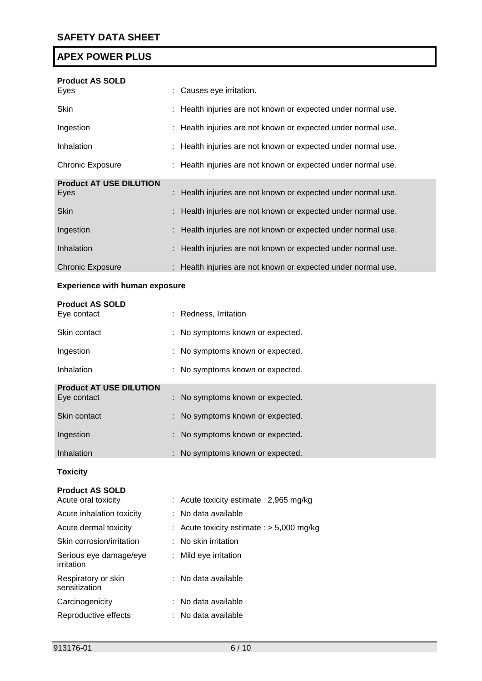| <b>Product AS SOLD</b>         |                                                               |
|--------------------------------|---------------------------------------------------------------|
| Eyes                           | : Causes eye irritation.                                      |
| <b>Skin</b>                    | : Health injuries are not known or expected under normal use. |
| Ingestion                      | : Health injuries are not known or expected under normal use. |
| Inhalation                     | : Health injuries are not known or expected under normal use. |
| <b>Chronic Exposure</b>        | : Health injuries are not known or expected under normal use. |
| <b>Product AT USE DILUTION</b> |                                                               |
| Eyes                           | : Health injuries are not known or expected under normal use. |
| <b>Skin</b>                    | : Health injuries are not known or expected under normal use. |
| Ingestion                      | : Health injuries are not known or expected under normal use. |
| Inhalation                     | : Health injuries are not known or expected under normal use. |
| <b>Chronic Exposure</b>        | : Health injuries are not known or expected under normal use. |

# **Experience with human exposure**

| <b>Product AS SOLD</b><br>Eye contact | : Redness, Irritation            |
|---------------------------------------|----------------------------------|
| Skin contact                          | : No symptoms known or expected. |
| Ingestion                             | : No symptoms known or expected. |
| Inhalation                            | : No symptoms known or expected. |
| <b>Product AT USE DILUTION</b>        |                                  |
| Eye contact                           | : No symptoms known or expected. |
| Skin contact                          | : No symptoms known or expected. |
| Ingestion                             | : No symptoms known or expected. |
| <b>Inhalation</b>                     | : No symptoms known or expected. |

# **Toxicity**

#### **Product AS SOLD**

| Acute oral toxicity                  | : Acute toxicity estimate : 2,965 mg/kg     |
|--------------------------------------|---------------------------------------------|
| Acute inhalation toxicity            | : No data available                         |
| Acute dermal toxicity                | : Acute toxicity estimate : $> 5,000$ mg/kg |
| Skin corrosion/irritation            | $\therefore$ No skin irritation             |
| Serious eye damage/eye<br>irritation | : Mild eye irritation                       |
| Respiratory or skin<br>sensitization | : No data available                         |
| Carcinogenicity                      | : No data available                         |
| Reproductive effects                 | : No data available                         |
|                                      |                                             |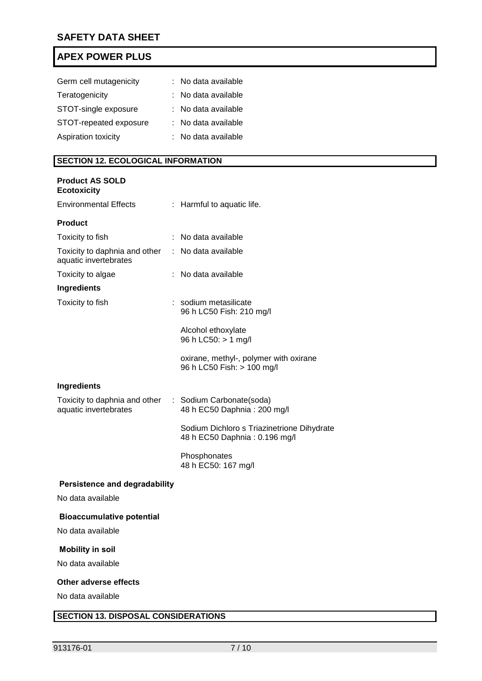| Germ cell mutagenicity | : No data available |
|------------------------|---------------------|
| Teratogenicity         | : No data available |
| STOT-single exposure   | : No data available |
| STOT-repeated exposure | : No data available |
| Aspiration toxicity    | : No data available |

# **SECTION 12. ECOLOGICAL INFORMATION**

# **Product AS SOLD Ecotoxicity**

| <b>Environmental Effects</b>                                                    | : Harmful to aquatic life.                                                  |
|---------------------------------------------------------------------------------|-----------------------------------------------------------------------------|
| <b>Product</b>                                                                  |                                                                             |
| Toxicity to fish                                                                | : No data available                                                         |
| Toxicity to daphnia and other<br>aquatic invertebrates                          | : No data available                                                         |
| Toxicity to algae                                                               | : No data available                                                         |
| <b>Ingredients</b>                                                              |                                                                             |
| Toxicity to fish                                                                | : sodium metasilicate<br>96 h LC50 Fish: 210 mg/l                           |
|                                                                                 | Alcohol ethoxylate<br>96 h LC50: > 1 mg/l                                   |
|                                                                                 | oxirane, methyl-, polymer with oxirane<br>96 h LC50 Fish: > 100 mg/l        |
| <b>Ingredients</b>                                                              |                                                                             |
| Toxicity to daphnia and other : Sodium Carbonate(soda)<br>aquatic invertebrates | 48 h EC50 Daphnia: 200 mg/l                                                 |
|                                                                                 | Sodium Dichloro s Triazinetrione Dihydrate<br>48 h EC50 Daphnia: 0.196 mg/l |
|                                                                                 | Phosphonates<br>48 h EC50: 167 mg/l                                         |
| <b>Persistence and degradability</b>                                            |                                                                             |

No data available

## **Bioaccumulative potential**

No data available

## **Mobility in soil**

No data available

# **Other adverse effects**

No data available

# **SECTION 13. DISPOSAL CONSIDERATIONS**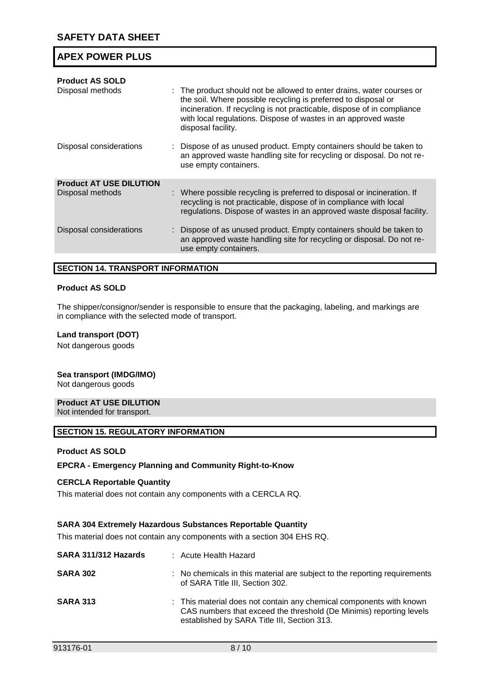| <b>Product AS SOLD</b><br>Disposal methods         | : The product should not be allowed to enter drains, water courses or<br>the soil. Where possible recycling is preferred to disposal or<br>incineration. If recycling is not practicable, dispose of in compliance<br>with local regulations. Dispose of wastes in an approved waste<br>disposal facility. |
|----------------------------------------------------|------------------------------------------------------------------------------------------------------------------------------------------------------------------------------------------------------------------------------------------------------------------------------------------------------------|
| Disposal considerations                            | : Dispose of as unused product. Empty containers should be taken to<br>an approved waste handling site for recycling or disposal. Do not re-<br>use empty containers.                                                                                                                                      |
| <b>Product AT USE DILUTION</b><br>Disposal methods | : Where possible recycling is preferred to disposal or incineration. If<br>recycling is not practicable, dispose of in compliance with local<br>regulations. Dispose of wastes in an approved waste disposal facility.                                                                                     |
| Disposal considerations                            | : Dispose of as unused product. Empty containers should be taken to<br>an approved waste handling site for recycling or disposal. Do not re-<br>use empty containers.                                                                                                                                      |
|                                                    |                                                                                                                                                                                                                                                                                                            |

#### **SECTION 14. TRANSPORT INFORMATION**

### **Product AS SOLD**

The shipper/consignor/sender is responsible to ensure that the packaging, labeling, and markings are in compliance with the selected mode of transport.

### **Land transport (DOT)**

Not dangerous goods

#### **Sea transport (IMDG/IMO)**

Not dangerous goods

# **Product AT USE DILUTION**

Not intended for transport.

#### **SECTION 15. REGULATORY INFORMATION**

#### **Product AS SOLD**

## **EPCRA - Emergency Planning and Community Right-to-Know**

## **CERCLA Reportable Quantity**

This material does not contain any components with a CERCLA RQ.

#### **SARA 304 Extremely Hazardous Substances Reportable Quantity**

This material does not contain any components with a section 304 EHS RQ.

| SARA 311/312 Hazards | : Acute Health Hazard                                                                                                                                                                     |
|----------------------|-------------------------------------------------------------------------------------------------------------------------------------------------------------------------------------------|
| <b>SARA 302</b>      | : No chemicals in this material are subject to the reporting requirements<br>of SARA Title III, Section 302.                                                                              |
| <b>SARA 313</b>      | : This material does not contain any chemical components with known<br>CAS numbers that exceed the threshold (De Minimis) reporting levels<br>established by SARA Title III, Section 313. |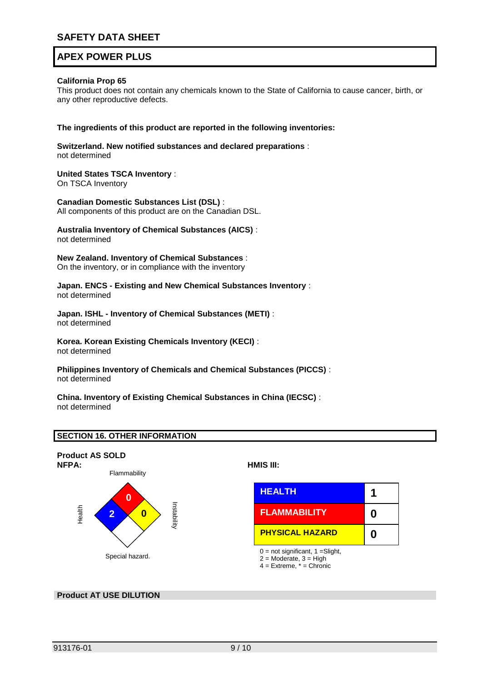### **California Prop 65**

This product does not contain any chemicals known to the State of California to cause cancer, birth, or any other reproductive defects.

#### **The ingredients of this product are reported in the following inventories:**

**Switzerland. New notified substances and declared preparations** : not determined

# **United States TSCA Inventory** :

On TSCA Inventory

**Canadian Domestic Substances List (DSL)** : All components of this product are on the Canadian DSL.

#### **Australia Inventory of Chemical Substances (AICS)** : not determined

**New Zealand. Inventory of Chemical Substances** : On the inventory, or in compliance with the inventory

**Japan. ENCS - Existing and New Chemical Substances Inventory** : not determined

**Japan. ISHL - Inventory of Chemical Substances (METI)** : not determined

**Korea. Korean Existing Chemicals Inventory (KECI)** : not determined

**Philippines Inventory of Chemicals and Chemical Substances (PICCS)** : not determined

**China. Inventory of Existing Chemical Substances in China (IECSC)** : not determined

## **SECTION 16. OTHER INFORMATION**



## **Product AT USE DILUTION**